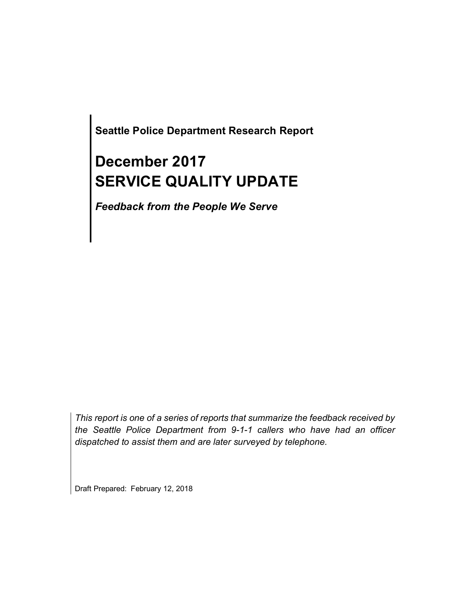**Seattle Police Department Research Report**

# **December 2017 SERVICE QUALITY UPDATE**

*Feedback from the People We Serve*

*This report is one of a series of reports that summarize the feedback received by the Seattle Police Department from 9-1-1 callers who have had an officer dispatched to assist them and are later surveyed by telephone.*

Draft Prepared: February 12, 2018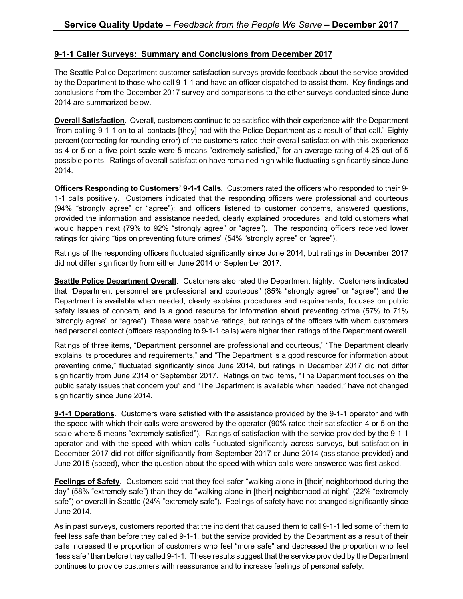#### **9-1-1 Caller Surveys: Summary and Conclusions from December 2017**

The Seattle Police Department customer satisfaction surveys provide feedback about the service provided by the Department to those who call 9-1-1 and have an officer dispatched to assist them. Key findings and conclusions from the December 2017 survey and comparisons to the other surveys conducted since June 2014 are summarized below.

**Overall Satisfaction**. Overall, customers continue to be satisfied with their experience with the Department "from calling 9-1-1 on to all contacts [they] had with the Police Department as a result of that call." Eighty percent (correcting for rounding error) of the customers rated their overall satisfaction with this experience as 4 or 5 on a five-point scale were 5 means "extremely satisfied," for an average rating of 4.25 out of 5 possible points. Ratings of overall satisfaction have remained high while fluctuating significantly since June 2014.

**Officers Responding to Customers' 9-1-1 Calls.** Customers rated the officers who responded to their 9- 1-1 calls positively. Customers indicated that the responding officers were professional and courteous (94% "strongly agree" or "agree"); and officers listened to customer concerns, answered questions, provided the information and assistance needed, clearly explained procedures, and told customers what would happen next (79% to 92% "strongly agree" or "agree"). The responding officers received lower ratings for giving "tips on preventing future crimes" (54% "strongly agree" or "agree").

Ratings of the responding officers fluctuated significantly since June 2014, but ratings in December 2017 did not differ significantly from either June 2014 or September 2017.

**Seattle Police Department Overall**. Customers also rated the Department highly. Customers indicated that "Department personnel are professional and courteous" (85% "strongly agree" or "agree") and the Department is available when needed, clearly explains procedures and requirements, focuses on public safety issues of concern, and is a good resource for information about preventing crime (57% to 71%) "strongly agree" or "agree"). These were positive ratings, but ratings of the officers with whom customers had personal contact (officers responding to 9-1-1 calls) were higher than ratings of the Department overall.

Ratings of three items, "Department personnel are professional and courteous," "The Department clearly explains its procedures and requirements," and "The Department is a good resource for information about preventing crime," fluctuated significantly since June 2014, but ratings in December 2017 did not differ significantly from June 2014 or September 2017. Ratings on two items, "The Department focuses on the public safety issues that concern you" and "The Department is available when needed," have not changed significantly since June 2014.

**9-1-1 Operations**. Customers were satisfied with the assistance provided by the 9-1-1 operator and with the speed with which their calls were answered by the operator (90% rated their satisfaction 4 or 5 on the scale where 5 means "extremely satisfied"). Ratings of satisfaction with the service provided by the 9-1-1 operator and with the speed with which calls fluctuated significantly across surveys, but satisfaction in December 2017 did not differ significantly from September 2017 or June 2014 (assistance provided) and June 2015 (speed), when the question about the speed with which calls were answered was first asked.

**Feelings of Safety**. Customers said that they feel safer "walking alone in [their] neighborhood during the day" (58% "extremely safe") than they do "walking alone in [their] neighborhood at night" (22% "extremely safe") or overall in Seattle (24% "extremely safe"). Feelings of safety have not changed significantly since June 2014.

As in past surveys, customers reported that the incident that caused them to call 9-1-1 led some of them to feel less safe than before they called 9-1-1, but the service provided by the Department as a result of their calls increased the proportion of customers who feel "more safe" and decreased the proportion who feel "less safe" than before they called 9-1-1. These results suggest that the service provided by the Department continues to provide customers with reassurance and to increase feelings of personal safety.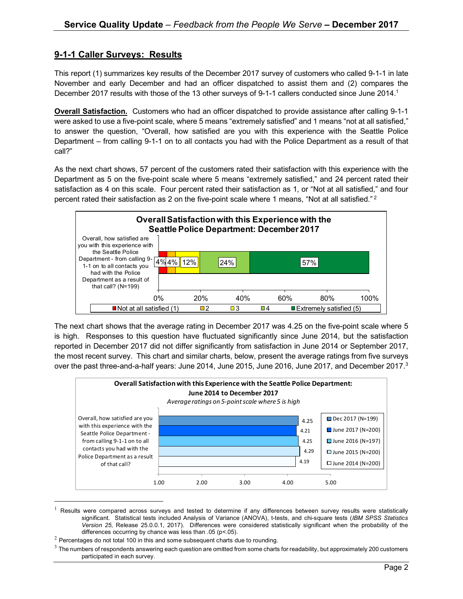### **9-1-1 Caller Surveys: Results**

This report (1) summarizes key results of the December 2017 survey of customers who called 9-1-1 in late November and early December and had an officer dispatched to assist them and (2) compares the December 2017 results with those of the 13 other surveys of 9-1-1 callers conducted since June 2014.<sup>1</sup>

**Overall Satisfaction.** Customers who had an officer dispatched to provide assistance after calling 9-1-1 were asked to use a five-point scale, where 5 means "extremely satisfied" and 1 means "not at all satisfied," to answer the question, "Overall, how satisfied are you with this experience with the Seattle Police Department – from calling 9-1-1 on to all contacts you had with the Police Department as a result of that call?"

As the next chart shows, 57 percent of the customers rated their satisfaction with this experience with the Department as 5 on the five-point scale where 5 means "extremely satisfied," and 24 percent rated their satisfaction as 4 on this scale. Four percent rated their satisfaction as 1, or "Not at all satisfied," and four percent rated their satisfaction as 2 on the five-point scale where 1 means, "Not at all satisfied."<sup>2</sup>



The next chart shows that the average rating in December 2017 was 4.25 on the five-point scale where 5 is high. Responses to this question have fluctuated significantly since June 2014, but the satisfaction reported in December 2017 did not differ significantly from satisfaction in June 2014 or September 2017, the most recent survey. This chart and similar charts, below, present the average ratings from five surveys over the past three-and-a-half years: June 2014, June 2015, June 2016, June 2017, and December 2017.<sup>3</sup>



 $1$  Results were compared across surveys and tested to determine if any differences between survey results were statistically significant. Statistical tests included Analysis of Variance (ANOVA), t-tests, and chi-square tests (*IBM SPSS Statistics Version 25,* Release 25.0.0.1, 2017). Differences were considered statistically significant when the probability of the differences occurring by chance was less than .05 (p<.05).

 $2$  Percentages do not total 100 in this and some subsequent charts due to rounding.

 $3$  The numbers of respondents answering each question are omitted from some charts for readability, but approximately 200 customers participated in each survey.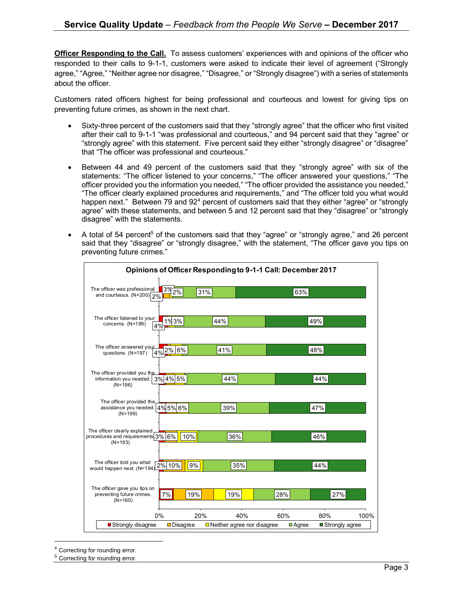**Officer Responding to the Call.** To assess customers' experiences with and opinions of the officer who responded to their calls to 9-1-1, customers were asked to indicate their level of agreement ("Strongly agree," "Agree," "Neither agree nor disagree," "Disagree," or "Strongly disagree") with a series of statements about the officer.

Customers rated officers highest for being professional and courteous and lowest for giving tips on preventing future crimes, as shown in the next chart.

- Sixty-three percent of the customers said that they "strongly agree" that the officer who first visited after their call to 9-1-1 "was professional and courteous," and 94 percent said that they "agree" or "strongly agree" with this statement. Five percent said they either "strongly disagree" or "disagree" that "The officer was professional and courteous."
- Between 44 and 49 percent of the customers said that they "strongly agree" with six of the statements: "The officer listened to your concerns," "The officer answered your questions," "The officer provided you the information you needed," "The officer provided the assistance you needed," "The officer clearly explained procedures and requirements," and "The officer told you what would happen next." Between 79 and  $92<sup>4</sup>$  percent of customers said that they either "agree" or "strongly agree" with these statements, and between 5 and 12 percent said that they "disagree" or "strongly disagree" with the statements.
- A total of 54 percent<sup>5</sup> of the customers said that they "agree" or "strongly agree," and 26 percent said that they "disagree" or "strongly disagree," with the statement, "The officer gave you tips on preventing future crimes."

| Opinions of Officer Responding to 9-1-1 Call: December 2017                     |                                |                                          |     |                             |                        |
|---------------------------------------------------------------------------------|--------------------------------|------------------------------------------|-----|-----------------------------|------------------------|
| The officer was professional<br>and courteous. $(N=200)\sqrt{2\%}$              | 3%<br>2%                       | 31%                                      |     | 63%                         |                        |
| The officer listened to your<br>concerns. (N=199)<br>4%                         | 1%3%                           | 44%                                      |     | 49%                         |                        |
| The officer answered your<br>questions. (N=197)                                 | $\frac{1}{4\%}$ 2% 6%          | 41%                                      |     | 48%                         |                        |
| The officer provided you the<br>information you needed.<br>$(N=196)$            | 3% 4% 5%                       | 44%                                      |     | 44%                         |                        |
| The officer provided the<br>assistance you needed. 4% 5% 6%<br>$(N=199)$        |                                | 39%                                      |     | 47%                         |                        |
| The officer clearly explained<br>procedures and requirements 3% 6%<br>$(N=193)$ | 10%                            | 36%                                      |     | 46%                         |                        |
| The officer told you what<br>would happen next. (N=194)                         | 2% 10%<br>9%                   | 35%                                      |     | 44%                         |                        |
| The officer gave you tips on<br>preventing future crimes.<br>$(N=160)$          | 7%<br>19%                      | 19%                                      | 28% |                             | 27%                    |
| 0%<br>Strongly disagree                                                         | 20%<br>$\blacksquare$ Disagree | 40%<br>$\Box$ Neither agree nor disagree | 60% | 80%<br>$\blacksquare$ Agree | 100%<br>Strongly agree |

Correcting for rounding error.

<sup>5</sup> Correcting for rounding error.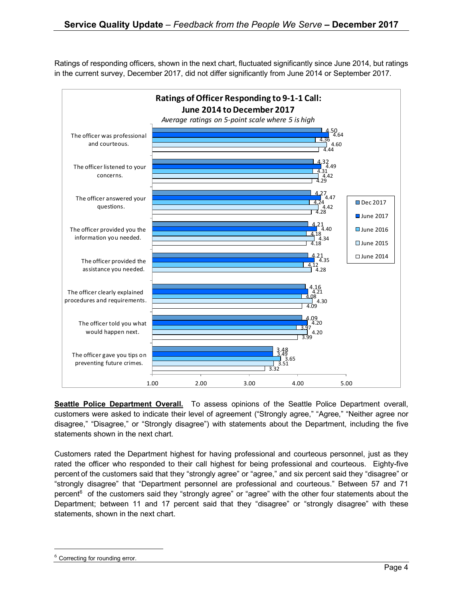Ratings of responding officers, shown in the next chart, fluctuated significantly since June 2014, but ratings in the current survey, December 2017, did not differ significantly from June 2014 or September 2017.



**Seattle Police Department Overall.** To assess opinions of the Seattle Police Department overall, customers were asked to indicate their level of agreement ("Strongly agree," "Agree," "Neither agree nor disagree," "Disagree," or "Strongly disagree") with statements about the Department, including the five statements shown in the next chart.

Customers rated the Department highest for having professional and courteous personnel, just as they rated the officer who responded to their call highest for being professional and courteous. Eighty-five percent of the customers said that they "strongly agree" or "agree," and six percent said they "disagree" or "strongly disagree" that "Department personnel are professional and courteous." Between 57 and 71 percent<sup>6</sup> of the customers said they "strongly agree" or "agree" with the other four statements about the Department; between 11 and 17 percent said that they "disagree" or "strongly disagree" with these statements, shown in the next chart.

Correcting for rounding error.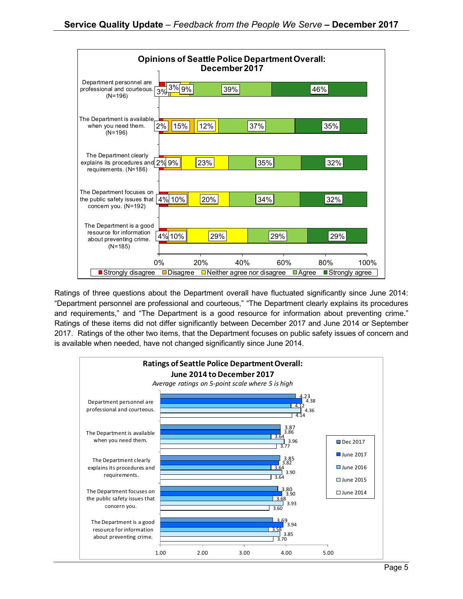

Ratings of three questions about the Department overall have fluctuated significantly since June 2014: "Department personnel are professional and courteous," "The Department clearly explains its procedures and requirements," and "The Department is a good resource for information about preventing crime." Ratings of these items did not differ significantly between December 2017 and June 2014 or September 2017. Ratings of the other two items, that the Department focuses on public safety issues of concern and is available when needed, have not changed significantly since June 2014.

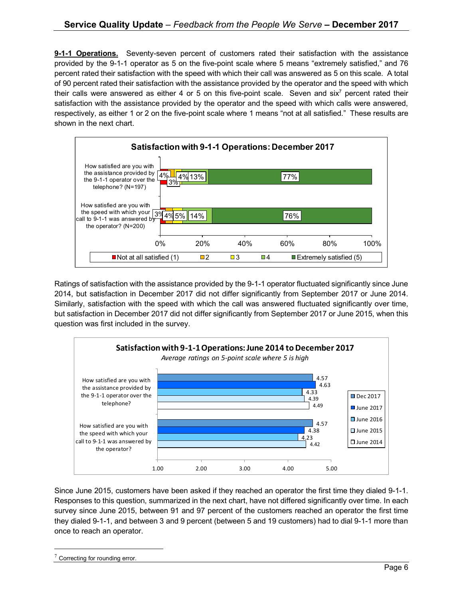**9-1-1 Operations.** Seventy-seven percent of customers rated their satisfaction with the assistance provided by the 9-1-1 operator as 5 on the five-point scale where 5 means "extremely satisfied," and 76 percent rated their satisfaction with the speed with which their call was answered as 5 on this scale. A total of 90 percent rated their satisfaction with the assistance provided by the operator and the speed with which their calls were answered as either 4 or 5 on this five-point scale. Seven and six<sup>7</sup> percent rated their satisfaction with the assistance provided by the operator and the speed with which calls were answered, respectively, as either 1 or 2 on the five-point scale where 1 means "not at all satisfied." These results are shown in the next chart.



Ratings of satisfaction with the assistance provided by the 9-1-1 operator fluctuated significantly since June 2014, but satisfaction in December 2017 did not differ significantly from September 2017 or June 2014. Similarly, satisfaction with the speed with which the call was answered fluctuated significantly over time, but satisfaction in December 2017 did not differ significantly from September 2017 or June 2015, when this question was first included in the survey.



Since June 2015, customers have been asked if they reached an operator the first time they dialed 9-1-1. Responses to this question, summarized in the next chart, have not differed significantly over time. In each survey since June 2015, between 91 and 97 percent of the customers reached an operator the first time they dialed 9-1-1, and between 3 and 9 percent (between 5 and 19 customers) had to dial 9-1-1 more than once to reach an operator.

Correcting for rounding error.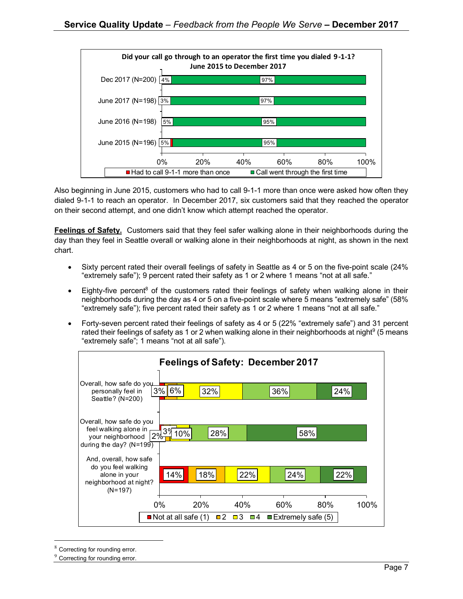

Also beginning in June 2015, customers who had to call 9-1-1 more than once were asked how often they dialed 9-1-1 to reach an operator. In December 2017, six customers said that they reached the operator on their second attempt, and one didn't know which attempt reached the operator.

**Feelings of Safety.** Customers said that they feel safer walking alone in their neighborhoods during the day than they feel in Seattle overall or walking alone in their neighborhoods at night, as shown in the next chart.

- Sixty percent rated their overall feelings of safety in Seattle as 4 or 5 on the five-point scale (24% "extremely safe"); 9 percent rated their safety as 1 or 2 where 1 means "not at all safe."
- Eighty-five percent<sup>8</sup> of the customers rated their feelings of safety when walking alone in their neighborhoods during the day as 4 or 5 on a five-point scale where 5 means "extremely safe" (58% "extremely safe"); five percent rated their safety as 1 or 2 where 1 means "not at all safe."
- Forty-seven percent rated their feelings of safety as 4 or 5 (22% "extremely safe") and 31 percent rated their feelings of safety as 1 or 2 when walking alone in their neighborhoods at night<sup>9</sup> (5 means "extremely safe"; 1 means "not at all safe").



Correcting for rounding error.

<sup>&</sup>lt;sup>9</sup> Correcting for rounding error.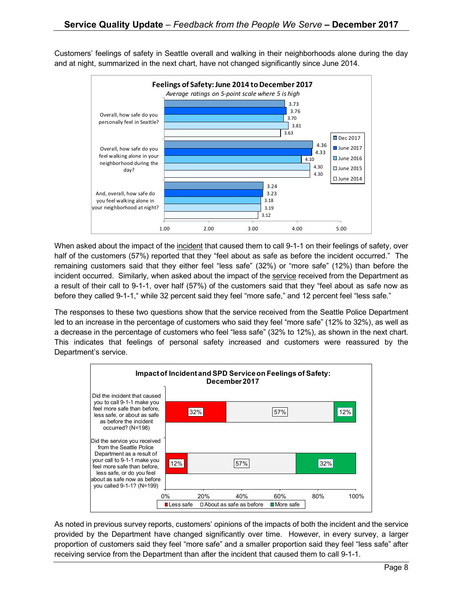Customers' feelings of safety in Seattle overall and walking in their neighborhoods alone during the day and at night, summarized in the next chart, have not changed significantly since June 2014.



When asked about the impact of the incident that caused them to call 9-1-1 on their feelings of safety, over half of the customers (57%) reported that they "feel about as safe as before the incident occurred." The remaining customers said that they either feel "less safe" (32%) or "more safe" (12%) than before the incident occurred. Similarly, when asked about the impact of the service received from the Department as a result of their call to 9-1-1, over half (57%) of the customers said that they "feel about as safe now as before they called 9-1-1," while 32 percent said they feel "more safe," and 12 percent feel "less safe."

The responses to these two questions show that the service received from the Seattle Police Department led to an increase in the percentage of customers who said they feel "more safe" (12% to 32%), as well as a decrease in the percentage of customers who feel "less safe" (32% to 12%), as shown in the next chart. This indicates that feelings of personal safety increased and customers were reassured by the Department's service.



As noted in previous survey reports, customers' opinions of the impacts of both the incident and the service provided by the Department have changed significantly over time. However, in every survey, a larger proportion of customers said they feel "more safe" and a smaller proportion said they feel "less safe" after receiving service from the Department than after the incident that caused them to call 9-1-1.